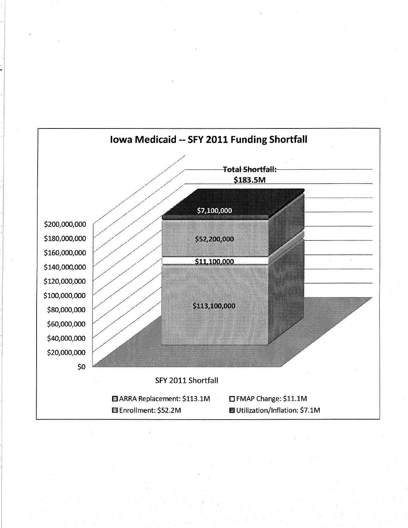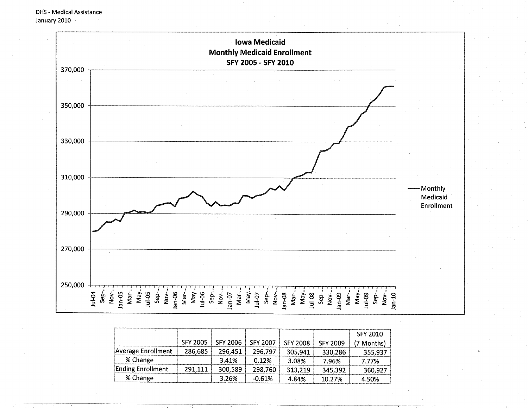**DHS - Medical Assistance** January 2010



|                          |                 |                 |                 |                 |                 | <b>SFY 2010</b> |
|--------------------------|-----------------|-----------------|-----------------|-----------------|-----------------|-----------------|
|                          | <b>SFY 2005</b> | <b>SFY 2006</b> | <b>SFY 2007</b> | <b>SFY 2008</b> | <b>SFY 2009</b> | (7 Months)      |
| Average Enrollment       | 286,685         | 296.451         | 296.797         | 305.941         | 330.286         | 355,937         |
| % Change                 |                 | 3.41%           | 0.12%           | 3.08%           | 7.96%           | 7.77%           |
| <b>Ending Enrollment</b> | 291.111         | 300,589         | 298,760         | 313,219         | 345.392         | 360,927         |
| % Change                 |                 | 3.26%           | $-0.61\%$       | 4.84%           | 10.27%          | 4.50%           |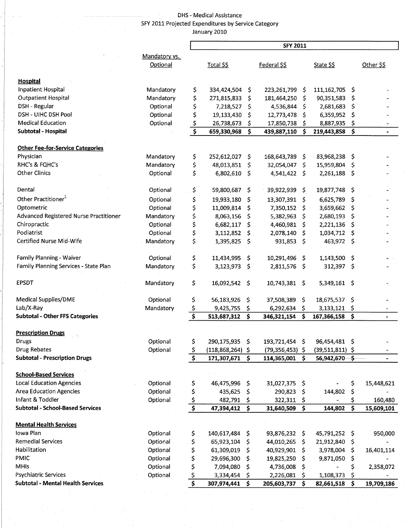## DHS - Medical Assistance SFY 2011 Projected Expenditures by Service Category January 2010

|                                                      |               | <b>SFY 2011</b>                     |                       |              |                   |              |                   |     |                              |
|------------------------------------------------------|---------------|-------------------------------------|-----------------------|--------------|-------------------|--------------|-------------------|-----|------------------------------|
|                                                      | Mandatory vs. |                                     |                       |              |                   |              |                   |     |                              |
|                                                      | Optional      |                                     | Total \$\$            |              | Federal \$\$      |              | State \$\$        |     | Other \$\$                   |
|                                                      |               |                                     |                       |              |                   |              |                   |     |                              |
| Hospital                                             |               |                                     |                       |              |                   |              |                   |     |                              |
| <b>Inpatient Hospital</b>                            | Mandatory     | \$                                  | 334,424,504           | \$           | 223,261,799       | S            | 111, 162, 705     | -S  |                              |
| <b>Outpatient Hospital</b>                           | Mandatory     | \$                                  | 271,815,833           | \$           | 181,464,250       | -S           | 90,351,583        | \$, |                              |
| DSH - Regular                                        | Optional      | \$                                  | 7,218,527             | $\mathsf{S}$ | 4,536,844 \$      |              | 2,681,683         | \$  |                              |
| DSH - UIHC DSH Pool                                  | Optional      | \$                                  | 19,133,430            | Ś            | 12,773,478        | - \$         | 6,359,952         | \$  |                              |
| <b>Medical Education</b>                             | Optional      | \$                                  | 26,738,673            | \$           | 17,850,738        | - \$         | 8,887,935         | \$  |                              |
| Subtotal - Hospital                                  |               | $\overline{\boldsymbol{\xi}}$       | 659,330,968           | \$           | 439,887,110       | Š.           | 219,443,858       | \$  |                              |
|                                                      |               |                                     |                       |              |                   |              |                   |     |                              |
| <b>Other Fee-for-Service Categories</b><br>Physician | Mandatory     | \$                                  | 252,612,027 \$        |              | 168,643,789       | S.           | 83,968,238        | \$. |                              |
| RHC's & FQHC's                                       | Mandatory     | \$                                  | 48,013,851            | -S           | 32,054,047        | -S           | 15,959,804        | \$. |                              |
| <b>Other Clinics</b>                                 | Optional      | \$                                  | 6,802,610 \$          |              | 4,541,422 \$      |              | 2,261,188         | -\$ |                              |
|                                                      |               |                                     |                       |              |                   |              |                   |     |                              |
| Dental                                               | Optional      | \$                                  | 59,800,687 \$         |              | 39,922,939        | \$.          | 19,877,748 \$     |     |                              |
| Other Practitioner <sup>1</sup>                      | Optional      | \$                                  | 19,933,180            | \$           | 13,307,391        | S            | 6,625,789         | \$. |                              |
| Optometric                                           | Optional      | \$                                  | 11,009,814            | Ŝ.           | 7,350,152         | S            | 3,659,662         | \$, |                              |
| Advanced Registered Nurse Practitioner               | Mandatory     | \$                                  | 8,063,156             | \$           | 5,382,963         | S            | 2,680,193         | \$  |                              |
| Chiropractic                                         | Optional      | \$                                  | 6,682,117             | \$.          | 4,460,981         | S            | 2,221,136         | \$  |                              |
| Podiatrist                                           | Optional      | \$                                  | 3,112,852             | \$           | 2,078,140         | S            | 1,034,712         | \$, |                              |
| <b>Certified Nurse Mid-Wife</b>                      | Mandatory     | \$                                  | 1,395,825             | -\$          | 931,853           | S            | 463,972 \$        |     |                              |
|                                                      |               |                                     |                       |              |                   |              |                   |     |                              |
| Family Planning - Waiver                             | Optional      | \$                                  | 11,434,995            | -S           | 10,291,496        | S            | 1,143,500         | .\$ |                              |
| Family Planning Services - State Plan                | Mandatory     | \$                                  | 3,123,973             | - \$         | 2,811,576 \$      |              | 312,397 \$        |     |                              |
| <b>EPSDT</b>                                         | Mandatory     | \$                                  | $16,092,542 \quad$ \$ |              | 10,743,381 \$     |              | $5,349,161$ \$    |     |                              |
| <b>Medical Supplies/DME</b>                          | Optional      | \$                                  | 56,183,926            | \$           | 37,508,389        | \$           | 18,675,537        | \$  |                              |
| Lab/X-Ray                                            | Mandatory     | <u>\$</u>                           | 9,425,755             | -S           | 6,292,634         | S            | 3,133,121         | \$  |                              |
| <b>Subtotal - Other FFS Categories</b>               |               | $\overline{\boldsymbol{\xi}}$       | 513,687,312           | \$           | 346, 321, 154     | \$           | 167,366,158       | \$  | $\qquad \qquad \blacksquare$ |
|                                                      |               |                                     |                       |              |                   |              |                   |     |                              |
| <b>Prescription Drugs</b>                            |               |                                     |                       |              |                   |              |                   |     |                              |
| Drugs                                                | Optional      | \$                                  | 290,175,935           | -\$          | 193,721,454       | -\$          | 96,454,481        | \$, |                              |
| Drug Rebates                                         | Optional      | $\mathsf{S}$                        | $(118,868,264)$ \$    |              | $(79,356,453)$ \$ |              | $(39,511,811)$ \$ |     |                              |
| <b>Subtotal - Prescription Drugs</b>                 |               | $\overline{\boldsymbol{\varsigma}}$ | 171,307,671 \$        |              | 114,365,001       | - \$         | 56,942,670        | -\$ |                              |
| <b>School-Based Services</b>                         |               |                                     |                       |              |                   |              |                   |     |                              |
| <b>Local Education Agencies</b>                      | Optional      | \$                                  | 46,475,996            | - S          | 31,027,375 \$     |              |                   | \$  | 15,448,621                   |
| <b>Area Education Agencies</b>                       | Optional      | \$                                  | 435,625               | -Ś           | 290,823 \$        |              | 144,802           | \$  |                              |
| Infant & Toddler                                     | Optional      | <u>\$</u>                           | 482,791               | -\$          | 322,311           | - S          |                   | \$  | 160,480                      |
| <b>Subtotal - School-Based Services</b>              |               | 3                                   | 47,394,412            | -\$          | 31,640,509        | $\mathsf{S}$ | 144,802           | \$  | 15,609,101                   |
|                                                      |               |                                     |                       |              |                   |              |                   |     |                              |
| <b>Mental Health Services</b>                        |               |                                     |                       |              |                   |              |                   |     |                              |
| Iowa Plan                                            | Optional      | \$                                  | 140,617,484           | - \$         | 93,876,232 \$     |              | 45,791,252 \$     |     | 950,000                      |
| <b>Remedial Services</b>                             | Optional      | \$                                  | 65,923,104            | -\$          | 44,010,265        | S            | 21,912,840        | \$  |                              |
| Habilitation                                         | Optional      | \$                                  | 61,309,019            | -\$          | 40,929,901 \$     |              | 3,978,004         | \$  | 16,401,114                   |
| <b>PMIC</b>                                          | Optional      | \$                                  | 29,696,300 \$         |              | 19,825,250        | -S           | 9,871,050         | \$  |                              |
| MHIs                                                 | Optional      | \$                                  | 7,094,080             | -\$          | 4,736,008         | S            |                   | \$  | 2,358,072                    |
| <b>Psychiatric Services</b>                          | Optional      | \$                                  | 3,334,454 \$          |              | 2,226,081 \$      |              | 1,108,373         | Ş   |                              |
| <b>Subtotal - Mental Health Services</b>             |               | $\overline{\boldsymbol{s}}$         | 307,974,441           | -\$          | 205,603,737       | S            | 82,661,518        | \$. | 19,709,186                   |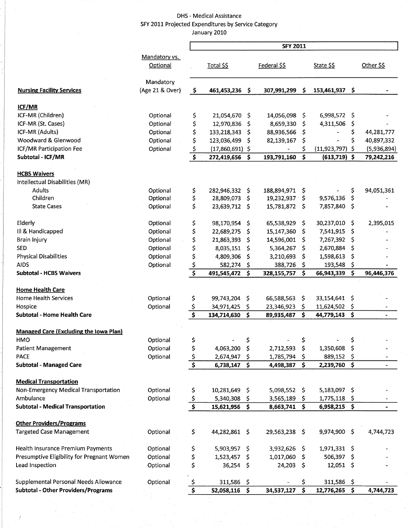## DHS - Medical Assistance SFY 2011 Projected Expenditures by Service Category January 2010

|                                               |                              | <b>SFY 2011</b>                               |                                 |              |                                 |          |                     |          |                          |
|-----------------------------------------------|------------------------------|-----------------------------------------------|---------------------------------|--------------|---------------------------------|----------|---------------------|----------|--------------------------|
|                                               | Mandatory vs.                |                                               |                                 |              |                                 |          |                     |          |                          |
|                                               | Optional                     |                                               | Total \$\$                      |              | Federal \$\$                    |          | State \$\$          |          | Other \$\$               |
| <b>Nursing Facility Services</b>              | Mandatory<br>(Age 21 & Over) |                                               | 461,453,236 \$                  |              |                                 |          |                     |          |                          |
|                                               |                              | -\$                                           |                                 |              | 307,991,299                     | \$,      | 153,461,937 \$      |          |                          |
| ICF/MR                                        |                              |                                               |                                 |              |                                 |          |                     |          |                          |
| ICF-MR (Children)                             | Optional                     |                                               | 21,054,670 \$                   |              | 14,056,098                      | \$.      | 6,998,572 \$        |          |                          |
| ICF-MR (St. Cases)                            | Optional                     | \$<br>\$                                      | 12,970,836                      | \$.          | 8,659,330                       | \$.      | 4,311,506           | \$       |                          |
| ICF-MR (Adults)                               | Optional                     | \$                                            | 133,218,343                     |              | 88,936,566                      |          |                     | \$       | 44,281,777               |
| Woodward & Glenwood                           |                              | \$                                            |                                 | \$           |                                 | \$.      |                     | \$       | 40,897,332               |
| ICF/MR Participation Fee                      | Optional                     |                                               | 123,036,499                     | \$           | 82,139,167                      | \$       | $(11, 923, 797)$ \$ |          |                          |
|                                               | Optional                     | $\mathsf{S}$<br>$\overline{\boldsymbol{\xi}}$ | $(17,860,691)$ \$               |              |                                 | \$<br>\$ |                     |          | (5,936,894)              |
| Subtotal - ICF/MR                             |                              |                                               | 272,419,656 \$                  |              | 193,791,160                     |          | $(613, 719)$ \$     |          | 79,242,216               |
|                                               |                              |                                               |                                 |              |                                 |          |                     |          |                          |
| <b>HCBS Waivers</b>                           |                              |                                               |                                 |              |                                 |          |                     |          |                          |
| Intellectual Disabilities (MR)                |                              |                                               |                                 |              |                                 |          |                     |          |                          |
| Adults<br>Children                            | Optional<br>Optional         | \$<br>\$                                      | 282,946,332 \$<br>28,809,073 \$ |              | 188,894,971 \$<br>19,232,937 \$ |          | 9,576,136           | \$<br>\$ | 94,051,361               |
| <b>State Cases</b>                            | Optional                     | \$                                            | 23,639,712 \$                   |              | 15,781,872 \$                   |          | 7,857,840 \$        |          |                          |
|                                               |                              |                                               |                                 |              |                                 |          |                     |          |                          |
| Elderly                                       | Optional                     | \$                                            | 98,170,954 \$                   |              | 65,538,929                      | S        | 30,237,010          | \$       | 2,395,015                |
| Ill & Handicapped                             | Optional                     |                                               |                                 | -\$          |                                 |          |                     | \$       |                          |
|                                               |                              | \$<br>\$                                      | 22,689,275                      | -\$          | 15,147,360                      | S        | 7,541,915           |          |                          |
| Brain Injury<br><b>SED</b>                    | Optional                     |                                               | 21,863,393                      |              | 14,596,001                      | S        | 7,267,392           | \$       |                          |
|                                               | Optional                     | \$                                            | 8,035,151 \$                    |              | 5,364,267                       | S        | 2,670,884           | \$       |                          |
| Physical Disabilities                         | Optional                     | \$                                            | 4,809,306                       | - \$         | 3,210,693                       | S        | 1,598,613           | \$       |                          |
| <b>AIDS</b>                                   | Optional                     | <u>\$</u><br>$\overline{\boldsymbol{\zeta}}$  | 582,274 \$                      |              | 388,726                         | S        | 193,548             | \$       |                          |
| <b>Subtotal - HCBS Waivers</b>                |                              |                                               | 491,545,472 \$                  |              | 328,155,757                     | S        | 66,943,339          | \$       | 96,446,376               |
|                                               |                              |                                               |                                 |              |                                 |          |                     |          |                          |
| <b>Home Health Care</b>                       |                              |                                               |                                 |              |                                 |          |                     |          |                          |
| Home Health Services                          | Optional                     | \$                                            | 99,743,204                      | -\$          | 66,588,563                      | -\$      | 33,154,641 \$       |          |                          |
| Hospice                                       | Optional                     | Ş                                             | 34,971,425 \$                   |              | 23,346,923                      | \$.      | 11,624,502          | \$       |                          |
| <b>Subtotal - Home Health Care</b>            |                              | $\overline{\boldsymbol{\xi}}$                 | 134,714,630                     | $\mathsf{S}$ | 89,935,487                      | \$       | 44,779,143          | \$       | $\overline{\phantom{0}}$ |
|                                               |                              |                                               |                                 |              |                                 |          |                     |          |                          |
| <b>Managed Care (Excluding the lowa Plan)</b> |                              |                                               |                                 |              |                                 |          |                     |          |                          |
| нмо                                           | Optional                     | \$                                            |                                 | \$           |                                 | Ś        |                     | ς.       |                          |
| Patient Management                            | Optional                     | \$                                            | 4,063,200                       | -S           | 2,712,593                       | -\$      | 1,350,608           | Ş        |                          |
| <b>PACE</b>                                   | Optional                     | $rac{5}{5}$                                   | 2,674,947                       | \$.          | 1,785,794                       | -\$      | 889,152             | S        |                          |
| <b>Subtotal - Managed Care</b>                |                              |                                               | 6,738,147                       | \$           | 4,498,387                       | \$.      | 2,239,760           | \$.      |                          |
|                                               |                              |                                               |                                 |              |                                 |          |                     |          |                          |
| <b>Medical Transportation</b>                 |                              |                                               |                                 |              |                                 |          |                     |          |                          |
| Non-Emergency Medical Transportation          | Optional                     | \$                                            | 10,281,649                      | - \$         | 5,098,552                       | -\$      | 5,183,097 \$        |          |                          |
| Ambulance                                     | Optional                     | $\frac{1}{2}$                                 | 5,340,308 \$                    |              | 3,565,189                       | Ş        | 1,775,118           | s        |                          |
| <b>Subtotal - Medical Transportation</b>      |                              | $\overline{\boldsymbol{\varsigma}}$           | 15,621,956 \$                   |              | 8,663,741                       | s        | 6,958,215 \$        |          | ۰                        |
|                                               |                              |                                               |                                 |              |                                 |          |                     |          |                          |
| <b>Other Providers/Programs</b>               |                              |                                               |                                 |              |                                 |          |                     |          |                          |
| <b>Targeted Case Management</b>               | Optional                     | \$                                            | 44,282,861 \$                   |              | 29,563,238 \$                   |          | 9,974,900 S         |          | 4,744,723                |
|                                               |                              |                                               |                                 |              |                                 |          |                     |          |                          |
| Health Insurance Premium Payments             | Optional                     | \$                                            | $5,903,957$ \$                  |              | $3,932,626$ \$                  |          | $1,971,331$ \$      |          |                          |
| Presumptive Eligibility for Pregnant Women    | Optional                     | \$                                            | 1,523,457 \$                    |              | 1,017,060 \$                    |          | 506,397 \$          |          |                          |
| Lead Inspection                               | Optional                     | \$                                            | $36,254$ \$                     |              | $24,203$ \$                     |          | $12,051$ \$         |          |                          |
|                                               |                              |                                               |                                 |              |                                 |          |                     |          |                          |
| Supplemental Personal Needs Allowance         | Optional                     | <u>ې</u>                                      | 311,586                         | -\$          |                                 | \$       | $311,586$ \$        |          |                          |
| <b>Subtotal - Other Providers/Programs</b>    |                              | $\pmb{\mathsf{S}}$                            | 52,058,116                      | -\$          | 34,537,127                      | \$       | 12,776,265 \$       |          | 4,744,723                |